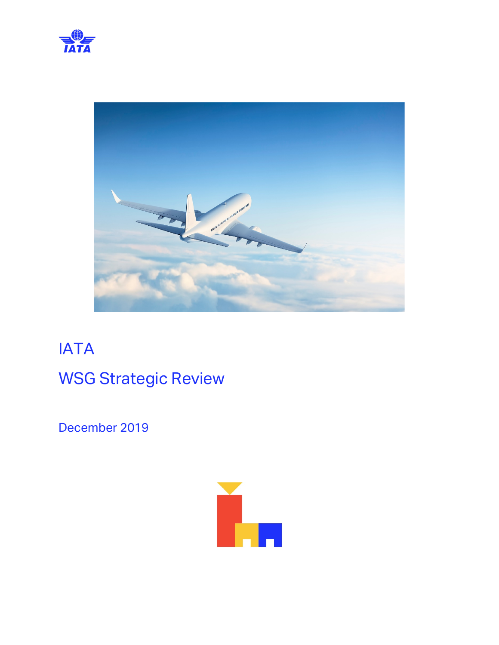



# IATA WSG Strategic Review

December 2019

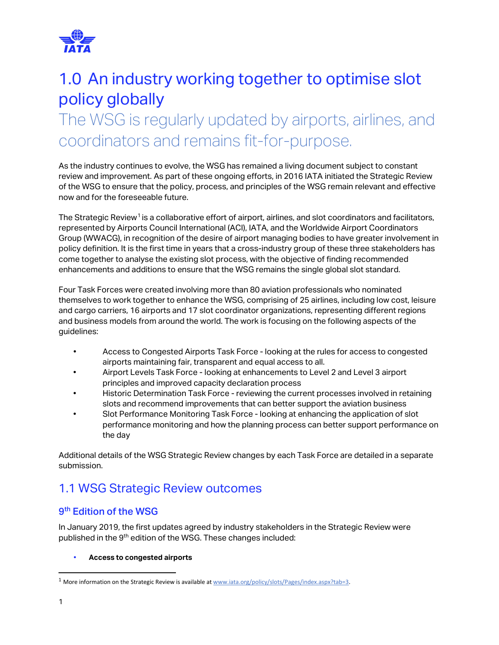

# 1.0 An industry working together to optimise slot policy globally

# The WSG is regularly updated by airports, airlines, and coordinators and remains fit-for-purpose.

As the industry continues to evolve, the WSG has remained a living document subject to constant review and improvement. As part of these ongoing efforts, in 2016 IATA initiated the Strategic Review of the WSG to ensure that the policy, process, and principles of the WSG remain relevant and effective now and for the foreseeable future.

The Strategic Review<sup>[1](#page-1-0)</sup> is a collaborative effort of airport, airlines, and slot coordinators and facilitators, represented by Airports Council International (ACI), IATA, and the Worldwide Airport Coordinators Group (WWACG), in recognition of the desire of airport managing bodies to have greater involvement in policy definition. It is the first time in years that a cross-industry group of these three stakeholders has come together to analyse the existing slot process, with the objective of finding recommended enhancements and additions to ensure that the WSG remains the single global slot standard.

Four Task Forces were created involving more than 80 aviation professionals who nominated themselves to work together to enhance the WSG, comprising of 25 airlines, including low cost, leisure and cargo carriers, 16 airports and 17 slot coordinator organizations, representing different regions and business models from around the world. The work is focusing on the following aspects of the guidelines:

- Access to Congested Airports Task Force looking at the rules for access to congested airports maintaining fair, transparent and equal access to all.
- Airport Levels Task Force looking at enhancements to Level 2 and Level 3 airport principles and improved capacity declaration process
- Historic Determination Task Force reviewing the current processes involved in retaining slots and recommend improvements that can better support the aviation business
- Slot Performance Monitoring Task Force looking at enhancing the application of slot performance monitoring and how the planning process can better support performance on the day

Additional details of the WSG Strategic Review changes by each Task Force are detailed in a separate submission.

## 1.1 WSG Strategic Review outcomes

#### 9th Edition of the WSG

In January 2019, the first updates agreed by industry stakeholders in the Strategic Review were published in the 9<sup>th</sup> edition of the WSG. These changes included:

#### • **Access to congested airports**

<span id="page-1-0"></span><sup>&</sup>lt;sup>1</sup> More information on the Strategic Review is available at [www.iata.org/policy/slots/Pages/index.aspx?tab=3.](http://www.iata.org/policy/slots/Pages/index.aspx?tab=3)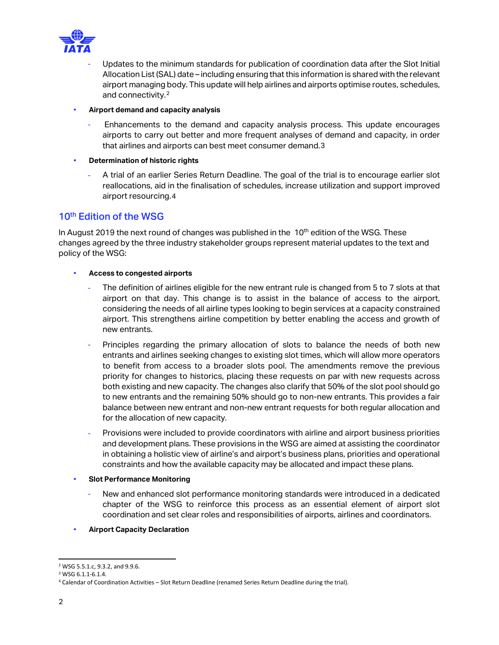

- Updates to the minimum standards for publication of coordination data after the Slot Initial Allocation List (SAL) date – including ensuring that this information is shared with the relevant airport managing body. This update will help airlines and airports optimise routes, schedules, and connectivity.<sup>[2](#page-2-0)</sup>
- **Airport demand and capacity analysis** 
	- Enhancements to the demand and capacity analysis process. This update encourages airports to carry out better and more frequent analyses of demand and capacity, in order that airlines and airports can best meet consumer demand.[3](#page-2-1)
- **Determination of historic rights**
	- A trial of an earlier Series Return Deadline. The goal of the trial is to encourage earlier slot reallocations, aid in the finalisation of schedules, increase utilization and support improved airport resourcing.[4](#page-2-2)

#### 10<sup>th</sup> Edition of the WSG

In August 2019 the next round of changes was published in the  $10<sup>th</sup>$  edition of the WSG. These changes agreed by the three industry stakeholder groups represent material updates to the text and policy of the WSG:

- **Access to congested airports**
	- The definition of airlines eligible for the new entrant rule is changed from 5 to 7 slots at that airport on that day. This change is to assist in the balance of access to the airport, considering the needs of all airline types looking to begin services at a capacity constrained airport. This strengthens airline competition by better enabling the access and growth of new entrants.
	- Principles regarding the primary allocation of slots to balance the needs of both new entrants and airlines seeking changes to existing slot times, which will allow more operators to benefit from access to a broader slots pool. The amendments remove the previous priority for changes to historics, placing these requests on par with new requests across both existing and new capacity. The changes also clarify that 50% of the slot pool should go to new entrants and the remaining 50% should go to non-new entrants. This provides a fair balance between new entrant and non-new entrant requests for both regular allocation and for the allocation of new capacity.
	- Provisions were included to provide coordinators with airline and airport business priorities and development plans. These provisions in the WSG are aimed at assisting the coordinator in obtaining a holistic view of airline's and airport's business plans, priorities and operational constraints and how the available capacity may be allocated and impact these plans.
- **Slot Performance Monitoring**
	- New and enhanced slot performance monitoring standards were introduced in a dedicated chapter of the WSG to reinforce this process as an essential element of airport slot coordination and set clear roles and responsibilities of airports, airlines and coordinators.
- **Airport Capacity Declaration**

<span id="page-2-0"></span><sup>2</sup> WSG 5.5.1.c, 9.3.2, and 9.9.6.

<span id="page-2-1"></span><sup>3</sup> WSG 6.1.1-6.1.4.

<span id="page-2-2"></span><sup>4</sup> Calendar of Coordination Activities – Slot Return Deadline (renamed Series Return Deadline during the trial).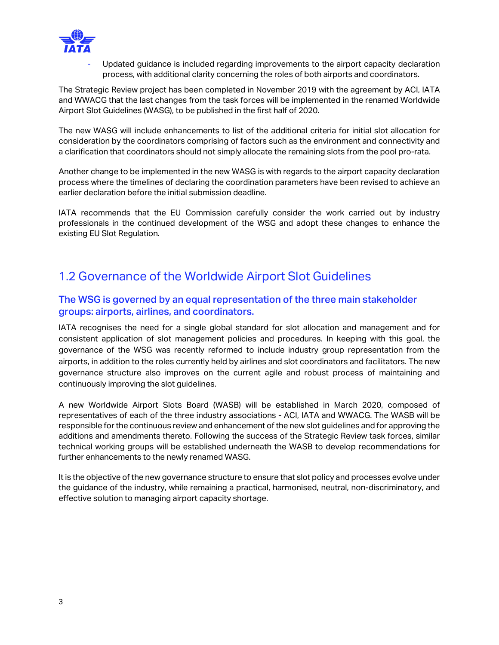

Updated quidance is included regarding improvements to the airport capacity declaration process, with additional clarity concerning the roles of both airports and coordinators.

The Strategic Review project has been completed in November 2019 with the agreement by ACI, IATA and WWACG that the last changes from the task forces will be implemented in the renamed Worldwide Airport Slot Guidelines (WASG), to be published in the first half of 2020.

The new WASG will include enhancements to list of the additional criteria for initial slot allocation for consideration by the coordinators comprising of factors such as the environment and connectivity and a clarification that coordinators should not simply allocate the remaining slots from the pool pro-rata.

Another change to be implemented in the new WASG is with regards to the airport capacity declaration process where the timelines of declaring the coordination parameters have been revised to achieve an earlier declaration before the initial submission deadline.

IATA recommends that the EU Commission carefully consider the work carried out by industry professionals in the continued development of the WSG and adopt these changes to enhance the existing EU Slot Regulation.

## 1.2 Governance of the Worldwide Airport Slot Guidelines

#### The WSG is governed by an equal representation of the three main stakeholder groups: airports, airlines, and coordinators.

IATA recognises the need for a single global standard for slot allocation and management and for consistent application of slot management policies and procedures. In keeping with this goal, the governance of the WSG was recently reformed to include industry group representation from the airports, in addition to the roles currently held by airlines and slot coordinators and facilitators. The new governance structure also improves on the current agile and robust process of maintaining and continuously improving the slot guidelines.

A new Worldwide Airport Slots Board (WASB) will be established in March 2020, composed of representatives of each of the three industry associations - ACI, IATA and WWACG. The WASB will be responsible for the continuous review and enhancement of the new slot guidelines and for approving the additions and amendments thereto. Following the success of the Strategic Review task forces, similar technical working groups will be established underneath the WASB to develop recommendations for further enhancements to the newly renamed WASG.

It is the objective of the new governance structure to ensure that slot policy and processes evolve under the guidance of the industry, while remaining a practical, harmonised, neutral, non-discriminatory, and effective solution to managing airport capacity shortage.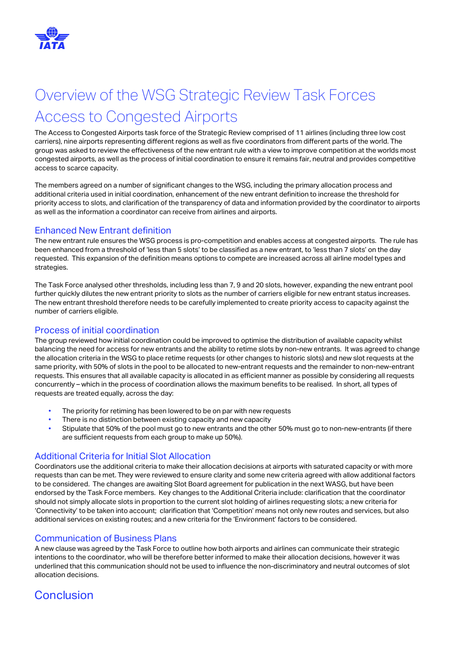

# Overview of the WSG Strategic Review Task Forces Access to Congested Airports

The Access to Congested Airports task force of the Strategic Review comprised of 11 airlines (including three low cost carriers), nine airports representing different regions as well as five coordinators from different parts of the world. The group was asked to review the effectiveness of the new entrant rule with a view to improve competition at the worlds most congested airports, as well as the process of initial coordination to ensure it remains fair, neutral and provides competitive access to scarce capacity.

The members agreed on a number of significant changes to the WSG, including the primary allocation process and additional criteria used in initial coordination, enhancement of the new entrant definition to increase the threshold for priority access to slots, and clarification of the transparency of data and information provided by the coordinator to airports as well as the information a coordinator can receive from airlines and airports.

#### Enhanced New Entrant definition

The new entrant rule ensures the WSG process is pro-competition and enables access at congested airports. The rule has been enhanced from a threshold of 'less than 5 slots' to be classified as a new entrant, to 'less than 7 slots' on the day requested. This expansion of the definition means options to compete are increased across all airline model types and strategies.

The Task Force analysed other thresholds, including less than 7, 9 and 20 slots, however, expanding the new entrant pool further quickly dilutes the new entrant priority to slots as the number of carriers eligible for new entrant status increases. The new entrant threshold therefore needs to be carefully implemented to create priority access to capacity against the number of carriers eligible.

#### Process of initial coordination

The group reviewed how initial coordination could be improved to optimise the distribution of available capacity whilst balancing the need for access for new entrants and the ability to retime slots by non-new entrants. It was agreed to change the allocation criteria in the WSG to place retime requests (or other changes to historic slots) and new slot requests at the same priority, with 50% of slots in the pool to be allocated to new-entrant requests and the remainder to non-new-entrant requests. This ensures that all available capacity is allocated in as efficient manner as possible by considering all requests concurrently – which in the process of coordination allows the maximum benefits to be realised. In short, all types of requests are treated equally, across the day:

- The priority for retiming has been lowered to be on par with new requests
- There is no distinction between existing capacity and new capacity
- Stipulate that 50% of the pool must go to new entrants and the other 50% must go to non-new-entrants (if there are sufficient requests from each group to make up 50%).

#### Additional Criteria for Initial Slot Allocation

Coordinators use the additional criteria to make their allocation decisions at airports with saturated capacity or with more requests than can be met. They were reviewed to ensure clarity and some new criteria agreed with allow additional factors to be considered. The changes are awaiting Slot Board agreement for publication in the next WASG, but have been endorsed by the Task Force members. Key changes to the Additional Criteria include: clarification that the coordinator should not simply allocate slots in proportion to the current slot holding of airlines requesting slots; a new criteria for 'Connectivity' to be taken into account; clarification that 'Competition' means not only new routes and services, but also additional services on existing routes; and a new criteria for the 'Environment' factors to be considered.

#### Communication of Business Plans

A new clause was agreed by the Task Force to outline how both airports and airlines can communicate their strategic intentions to the coordinator, who will be therefore better informed to make their allocation decisions, however it was underlined that this communication should not be used to influence the non-discriminatory and neutral outcomes of slot allocation decisions.

## Conclusion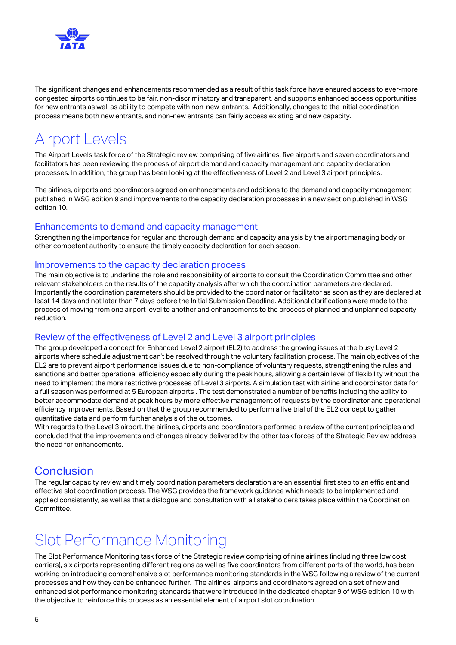

The significant changes and enhancements recommended as a result of this task force have ensured access to ever-more congested airports continues to be fair, non-discriminatory and transparent, and supports enhanced access opportunities for new entrants as well as ability to compete with non-new-entrants. Additionally, changes to the initial coordination process means both new entrants, and non-new entrants can fairly access existing and new capacity.

## Airport Levels

The Airport Levels task force of the Strategic review comprising of five airlines, five airports and seven coordinators and facilitators has been reviewing the process of airport demand and capacity management and capacity declaration processes. In addition, the group has been looking at the effectiveness of Level 2 and Level 3 airport principles.

The airlines, airports and coordinators agreed on enhancements and additions to the demand and capacity management published in WSG edition 9 and improvements to the capacity declaration processes in a new section published in WSG edition 10.

#### Enhancements to demand and capacity management

Strengthening the importance for regular and thorough demand and capacity analysis by the airport managing body or other competent authority to ensure the timely capacity declaration for each season.

#### Improvements to the capacity declaration process

The main objective is to underline the role and responsibility of airports to consult the Coordination Committee and other relevant stakeholders on the results of the capacity analysis after which the coordination parameters are declared. Importantly the coordination parameters should be provided to the coordinator or facilitator as soon as they are declared at least 14 days and not later than 7 days before the Initial Submission Deadline. Additional clarifications were made to the process of moving from one airport level to another and enhancements to the process of planned and unplanned capacity reduction.

#### Review of the effectiveness of Level 2 and Level 3 airport principles

The group developed a concept for Enhanced Level 2 airport (EL2) to address the growing issues at the busy Level 2 airports where schedule adjustment can't be resolved through the voluntary facilitation process. The main objectives of the EL2 are to prevent airport performance issues due to non-compliance of voluntary requests, strengthening the rules and sanctions and better operational efficiency especially during the peak hours, allowing a certain level of flexibility without the need to implement the more restrictive processes of Level 3 airports. A simulation test with airline and coordinator data for a full season was performed at 5 European airports . The test demonstrated a number of benefits including the ability to better accommodate demand at peak hours by more effective management of requests by the coordinator and operational efficiency improvements. Based on that the group recommended to perform a live trial of the EL2 concept to gather quantitative data and perform further analysis of the outcomes.

With regards to the Level 3 airport, the airlines, airports and coordinators performed a review of the current principles and concluded that the improvements and changes already delivered by the other task forces of the Strategic Review address the need for enhancements.

### **Conclusion**

The regular capacity review and timely coordination parameters declaration are an essential first step to an efficient and effective slot coordination process. The WSG provides the framework guidance which needs to be implemented and applied consistently, as well as that a dialogue and consultation with all stakeholders takes place within the Coordination Committee.

# Slot Performance Monitoring

The Slot Performance Monitoring task force of the Strategic review comprising of nine airlines (including three low cost carriers), six airports representing different regions as well as five coordinators from different parts of the world, has been working on introducing comprehensive slot performance monitoring standards in the WSG following a review of the current processes and how they can be enhanced further. The airlines, airports and coordinators agreed on a set of new and enhanced slot performance monitoring standards that were introduced in the dedicated chapter 9 of WSG edition 10 with the objective to reinforce this process as an essential element of airport slot coordination.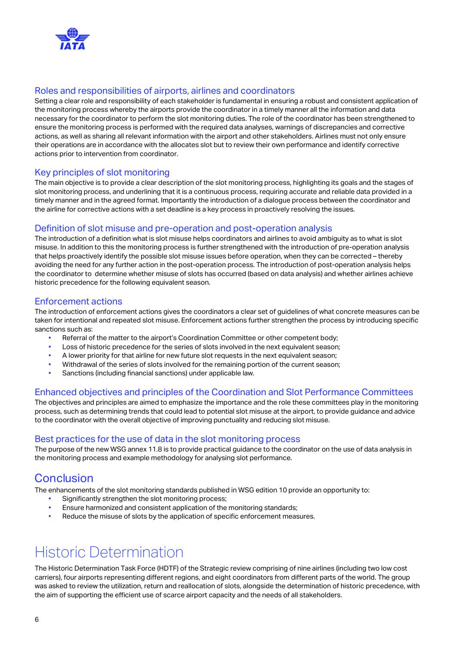

#### Roles and responsibilities of airports, airlines and coordinators

Setting a clear role and responsibility of each stakeholder is fundamental in ensuring a robust and consistent application of the monitoring process whereby the airports provide the coordinator in a timely manner all the information and data necessary for the coordinator to perform the slot monitoring duties. The role of the coordinator has been strengthened to ensure the monitoring process is performed with the required data analyses, warnings of discrepancies and corrective actions, as well as sharing all relevant information with the airport and other stakeholders. Airlines must not only ensure their operations are in accordance with the allocates slot but to review their own performance and identify corrective actions prior to intervention from coordinator.

#### Key principles of slot monitoring

The main objective is to provide a clear description of the slot monitoring process, highlighting its goals and the stages of slot monitoring process, and underlining that it is a continuous process, requiring accurate and reliable data provided in a timely manner and in the agreed format. Importantly the introduction of a dialogue process between the coordinator and the airline for corrective actions with a set deadline is a key process in proactively resolving the issues.

#### Definition of slot misuse and pre-operation and post-operation analysis

The introduction of a definition what is slot misuse helps coordinators and airlines to avoid ambiguity as to what is slot misuse. In addition to this the monitoring process is further strengthened with the introduction of pre-operation analysis that helps proactively identify the possible slot misuse issues before operation, when they can be corrected – thereby avoiding the need for any further action in the post-operation process. The introduction of post-operation analysis helps the coordinator to determine whether misuse of slots has occurred (based on data analysis) and whether airlines achieve historic precedence for the following equivalent season.

#### Enforcement actions

The introduction of enforcement actions gives the coordinators a clear set of guidelines of what concrete measures can be taken for intentional and repeated slot misuse. Enforcement actions further strengthen the process by introducing specific sanctions such as:

- Referral of the matter to the airport's Coordination Committee or other competent body;
- Loss of historic precedence for the series of slots involved in the next equivalent season;
- A lower priority for that airline for new future slot requests in the next equivalent season;
- Withdrawal of the series of slots involved for the remaining portion of the current season;
- Sanctions (including financial sanctions) under applicable law.

#### Enhanced objectives and principles of the Coordination and Slot Performance Committees

The objectives and principles are aimed to emphasize the importance and the role these committees play in the monitoring process, such as determining trends that could lead to potential slot misuse at the airport, to provide guidance and advice to the coordinator with the overall objective of improving punctuality and reducing slot misuse.

#### Best practices for the use of data in the slot monitoring process

The purpose of the new WSG annex 11.8 is to provide practical guidance to the coordinator on the use of data analysis in the monitoring process and example methodology for analysing slot performance.

### **Conclusion**

The enhancements of the slot monitoring standards published in WSG edition 10 provide an opportunity to:

- Significantly strengthen the slot monitoring process;
- Ensure harmonized and consistent application of the monitoring standards;
- Reduce the misuse of slots by the application of specific enforcement measures.

# Historic Determination

The Historic Determination Task Force (HDTF) of the Strategic review comprising of nine airlines (including two low cost carriers), four airports representing different regions, and eight coordinators from different parts of the world. The group was asked to review the utilization, return and reallocation of slots, alongside the determination of historic precedence, with the aim of supporting the efficient use of scarce airport capacity and the needs of all stakeholders.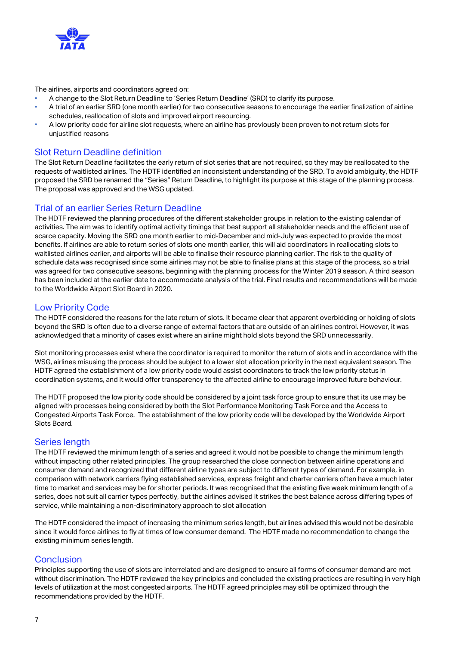

The airlines, airports and coordinators agreed on:

- A change to the Slot Return Deadline to 'Series Return Deadline' (SRD) to clarify its purpose.
- A trial of an earlier SRD (one month earlier) for two consecutive seasons to encourage the earlier finalization of airline schedules, reallocation of slots and improved airport resourcing.
- A low priority code for airline slot requests, where an airline has previously been proven to not return slots for unjustified reasons

#### Slot Return Deadline definition

The Slot Return Deadline facilitates the early return of slot series that are not required, so they may be reallocated to the requests of waitlisted airlines. The HDTF identified an inconsistent understanding of the SRD. To avoid ambiguity, the HDTF proposed the SRD be renamed the "Series" Return Deadline, to highlight its purpose at this stage of the planning process. The proposal was approved and the WSG updated.

#### Trial of an earlier Series Return Deadline

The HDTF reviewed the planning procedures of the different stakeholder groups in relation to the existing calendar of activities. The aim was to identify optimal activity timings that best support all stakeholder needs and the efficient use of scarce capacity. Moving the SRD one month earlier to mid-December and mid-July was expected to provide the most benefits. If airlines are able to return series of slots one month earlier, this will aid coordinators in reallocating slots to waitlisted airlines earlier, and airports will be able to finalise their resource planning earlier. The risk to the quality of schedule data was recognised since some airlines may not be able to finalise plans at this stage of the process, so a trial was agreed for two consecutive seasons, beginning with the planning process for the Winter 2019 season. A third season has been included at the earlier date to accommodate analysis of the trial. Final results and recommendations will be made to the Worldwide Airport Slot Board in 2020.

#### Low Priority Code

The HDTF considered the reasons for the late return of slots. It became clear that apparent overbidding or holding of slots beyond the SRD is often due to a diverse range of external factors that are outside of an airlines control. However, it was acknowledged that a minority of cases exist where an airline might hold slots beyond the SRD unnecessarily.

Slot monitoring processes exist where the coordinator is required to monitor the return of slots and in accordance with the WSG, airlines misusing the process should be subject to a lower slot allocation priority in the next equivalent season. The HDTF agreed the establishment of a low priority code would assist coordinators to track the low priority status in coordination systems, and it would offer transparency to the affected airline to encourage improved future behaviour.

The HDTF proposed the low piority code should be considered by a joint task force group to ensure that its use may be aligned with processes being considered by both the Slot Performance Monitoring Task Force and the Access to Congested Airports Task Force. The establishment of the low priority code will be developed by the Worldwide Airport Slots Board.

#### Series length

The HDTF reviewed the minimum length of a series and agreed it would not be possible to change the minimum length without impacting other related principles. The group researched the close connection between airline operations and consumer demand and recognized that different airline types are subject to different types of demand. For example, in comparison with network carriers flying established services, express freight and charter carriers often have a much later time to market and services may be for shorter periods. It was recognised that the existing five week minimum length of a series, does not suit all carrier types perfectly, but the airlines advised it strikes the best balance across differing types of service, while maintaining a non-discriminatory approach to slot allocation

The HDTF considered the impact of increasing the minimum series length, but airlines advised this would not be desirable since it would force airlines to fly at times of low consumer demand. The HDTF made no recommendation to change the existing minimum series length.

#### **Conclusion**

Principles supporting the use of slots are interrelated and are designed to ensure all forms of consumer demand are met without discrimination. The HDTF reviewed the key principles and concluded the existing practices are resulting in very high levels of utilization at the most congested airports. The HDTF agreed principles may still be optimized through the recommendations provided by the HDTF.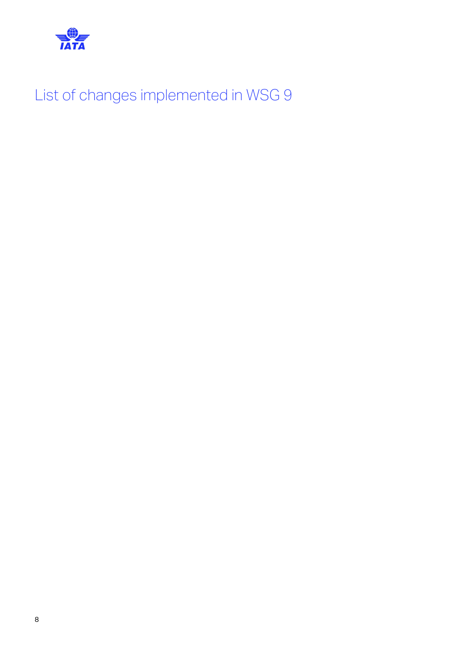

List of changes implemented in WSG 9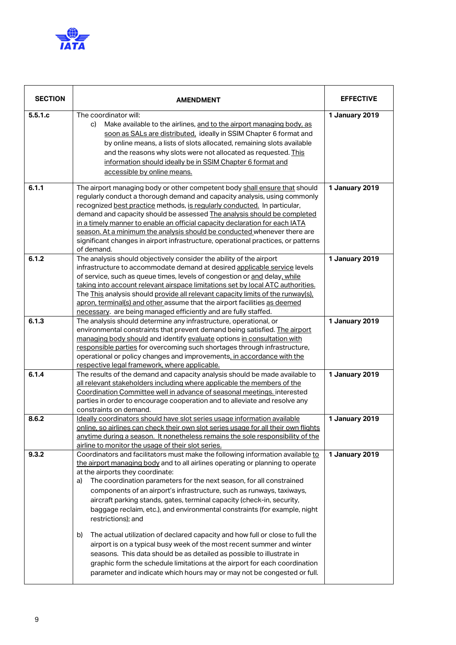

| <b>SECTION</b> | <b>AMENDMENT</b>                                                                                                                                                                                                                                                                                                                                                                                                                                                                                                                                                                                                                                                                                                                                                                                                                                                                                                                            | <b>EFFECTIVE</b> |
|----------------|---------------------------------------------------------------------------------------------------------------------------------------------------------------------------------------------------------------------------------------------------------------------------------------------------------------------------------------------------------------------------------------------------------------------------------------------------------------------------------------------------------------------------------------------------------------------------------------------------------------------------------------------------------------------------------------------------------------------------------------------------------------------------------------------------------------------------------------------------------------------------------------------------------------------------------------------|------------------|
| 5.5.1.c        | The coordinator will:<br>Make available to the airlines, and to the airport managing body, as<br>C)<br>soon as SALs are distributed, ideally in SSIM Chapter 6 format and<br>by online means, a lists of slots allocated, remaining slots available<br>and the reasons why slots were not allocated as requested. This<br>information should ideally be in SSIM Chapter 6 format and<br>accessible by online means.                                                                                                                                                                                                                                                                                                                                                                                                                                                                                                                         | 1 January 2019   |
| 6.1.1          | The airport managing body or other competent body shall ensure that should<br>regularly conduct a thorough demand and capacity analysis, using commonly<br>recognized best practice methods, is regularly conducted. In particular,<br>demand and capacity should be assessed The analysis should be completed<br>in a timely manner to enable an official capacity declaration for each IATA<br>season. At a minimum the analysis should be conducted whenever there are<br>significant changes in airport infrastructure, operational practices, or patterns<br>of demand.                                                                                                                                                                                                                                                                                                                                                                | 1 January 2019   |
| 6.1.2          | The analysis should objectively consider the ability of the airport<br>infrastructure to accommodate demand at desired applicable service levels<br>of service, such as queue times, levels of congestion or and delay, while<br>taking into account relevant airspace limitations set by local ATC authorities.<br>The This analysis should provide all relevant capacity limits of the runway(s),<br>apron, terminal(s) and other assume that the airport facilities as deemed<br>necessary. are being managed efficiently and are fully staffed.                                                                                                                                                                                                                                                                                                                                                                                         | 1 January 2019   |
| 6.1.3          | The analysis should determine any infrastructure, operational, or<br>environmental constraints that prevent demand being satisfied. The airport<br>managing body should and identify evaluate options in consultation with<br>responsible parties for overcoming such shortages through infrastructure,<br>operational or policy changes and improvements, in accordance with the<br>respective legal framework, where applicable.                                                                                                                                                                                                                                                                                                                                                                                                                                                                                                          | 1 January 2019   |
| 6.1.4          | The results of the demand and capacity analysis should be made available to<br>all relevant stakeholders including where applicable the members of the<br>Coordination Committee well in advance of seasonal meetings. interested<br>parties in order to encourage cooperation and to alleviate and resolve any<br>constraints on demand.                                                                                                                                                                                                                                                                                                                                                                                                                                                                                                                                                                                                   | 1 January 2019   |
| 8.6.2          | Ideally coordinators should have slot series usage information available<br>online, so airlines can check their own slot series usage for all their own flights<br>anytime during a season. It nonetheless remains the sole responsibility of the<br>airline to monitor the usage of their slot series.                                                                                                                                                                                                                                                                                                                                                                                                                                                                                                                                                                                                                                     | 1 January 2019   |
| 9.3.2          | Coordinators and facilitators must make the following information available to<br>the airport managing body and to all airlines operating or planning to operate<br>at the airports they coordinate:<br>The coordination parameters for the next season, for all constrained<br>a)<br>components of an airport's infrastructure, such as runways, taxiways,<br>aircraft parking stands, gates, terminal capacity (check-in, security,<br>baggage reclaim, etc.), and environmental constraints (for example, night<br>restrictions); and<br>The actual utilization of declared capacity and how full or close to full the<br>b)<br>airport is on a typical busy week of the most recent summer and winter<br>seasons. This data should be as detailed as possible to illustrate in<br>graphic form the schedule limitations at the airport for each coordination<br>parameter and indicate which hours may or may not be congested or full. | 1 January 2019   |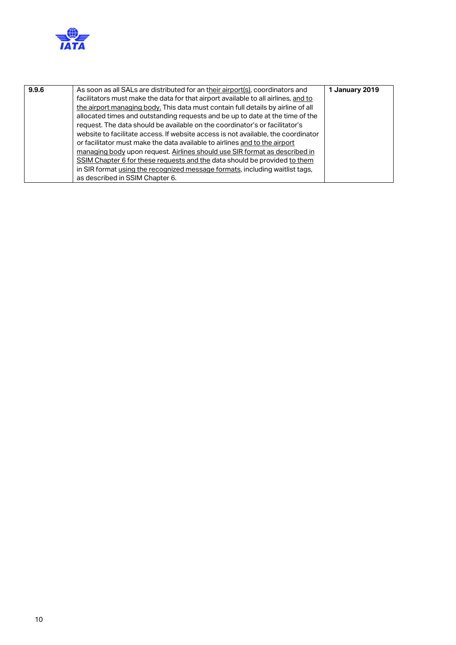

| as described in SSIM Chapter 6. | 9.9.6 | As soon as all SALs are distributed for an their airport(s), coordinators and<br>facilitators must make the data for that airport available to all airlines, and to<br>the airport managing body. This data must contain full details by airline of all<br>allocated times and outstanding requests and be up to date at the time of the<br>request. The data should be available on the coordinator's or facilitator's<br>website to facilitate access. If website access is not available, the coordinator<br>or facilitator must make the data available to airlines and to the airport<br>managing body upon request. Airlines should use SIR format as described in<br>SSIM Chapter 6 for these requests and the data should be provided to them<br>in SIR format using the recognized message formats, including waitlist tags, | 1 January 2019 |
|---------------------------------|-------|---------------------------------------------------------------------------------------------------------------------------------------------------------------------------------------------------------------------------------------------------------------------------------------------------------------------------------------------------------------------------------------------------------------------------------------------------------------------------------------------------------------------------------------------------------------------------------------------------------------------------------------------------------------------------------------------------------------------------------------------------------------------------------------------------------------------------------------|----------------|
|---------------------------------|-------|---------------------------------------------------------------------------------------------------------------------------------------------------------------------------------------------------------------------------------------------------------------------------------------------------------------------------------------------------------------------------------------------------------------------------------------------------------------------------------------------------------------------------------------------------------------------------------------------------------------------------------------------------------------------------------------------------------------------------------------------------------------------------------------------------------------------------------------|----------------|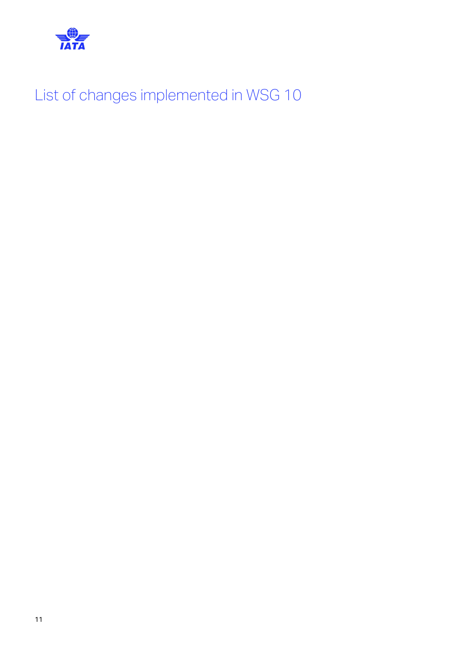

List of changes implemented in WSG 10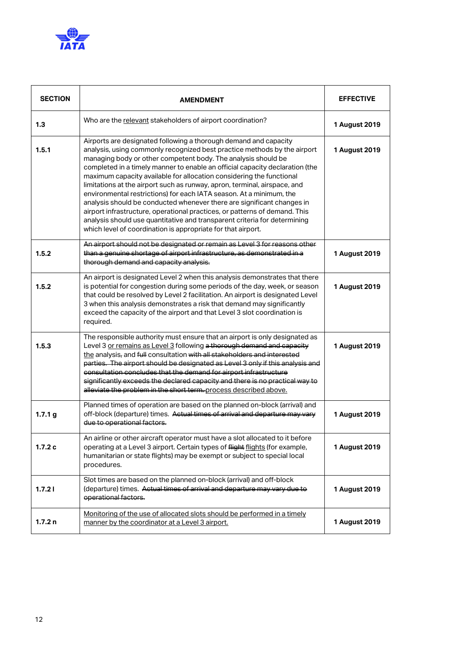

| <b>SECTION</b>     | <b>AMENDMENT</b>                                                                                                                                                                                                                                                                                                                                                                                                                                                                                                                                                                                                                                                                                                                                                                                                               | <b>EFFECTIVE</b> |
|--------------------|--------------------------------------------------------------------------------------------------------------------------------------------------------------------------------------------------------------------------------------------------------------------------------------------------------------------------------------------------------------------------------------------------------------------------------------------------------------------------------------------------------------------------------------------------------------------------------------------------------------------------------------------------------------------------------------------------------------------------------------------------------------------------------------------------------------------------------|------------------|
| 1.3                | Who are the relevant stakeholders of airport coordination?                                                                                                                                                                                                                                                                                                                                                                                                                                                                                                                                                                                                                                                                                                                                                                     | 1 August 2019    |
| 1.5.1              | Airports are designated following a thorough demand and capacity<br>analysis, using commonly recognized best practice methods by the airport<br>managing body or other competent body. The analysis should be<br>completed in a timely manner to enable an official capacity declaration (the<br>maximum capacity available for allocation considering the functional<br>limitations at the airport such as runway, apron, terminal, airspace, and<br>environmental restrictions) for each IATA season. At a minimum, the<br>analysis should be conducted whenever there are significant changes in<br>airport infrastructure, operational practices, or patterns of demand. This<br>analysis should use quantitative and transparent criteria for determining<br>which level of coordination is appropriate for that airport. | 1 August 2019    |
| 1.5.2              | An airport should not be designated or remain as Level 3 for reasons other<br>than a genuine shortage of airport infrastructure, as demonstrated in a<br>thorough demand and capacity analysis.                                                                                                                                                                                                                                                                                                                                                                                                                                                                                                                                                                                                                                | 1 August 2019    |
| 1.5.2              | An airport is designated Level 2 when this analysis demonstrates that there<br>is potential for congestion during some periods of the day, week, or season<br>that could be resolved by Level 2 facilitation. An airport is designated Level<br>3 when this analysis demonstrates a risk that demand may significantly<br>exceed the capacity of the airport and that Level 3 slot coordination is<br>required.                                                                                                                                                                                                                                                                                                                                                                                                                | 1 August 2019    |
| 1.5.3              | The responsible authority must ensure that an airport is only designated as<br>Level 3 or remains as Level 3 following a thorough demand and capacity<br>the analysis, and full consultation with all stakeholders and interested<br>parties. The airport should be designated as Level 3 only if this analysis and<br>consultation concludes that the demand for airport infrastructure<br>significantly exceeds the declared capacity and there is no practical way to<br>alleviate the problem in the short term. process described above.                                                                                                                                                                                                                                                                                  | 1 August 2019    |
| 1.7.1 <sub>g</sub> | Planned times of operation are based on the planned on-block (arrival) and<br>off-block (departure) times. Actual times of arrival and departure may vary<br>due to operational factors.                                                                                                                                                                                                                                                                                                                                                                                                                                                                                                                                                                                                                                       | 1 August 2019    |
| 1.7.2c             | An airline or other aircraft operator must have a slot allocated to it before<br>operating at a Level 3 airport. Certain types of flight flights (for example,<br>humanitarian or state flights) may be exempt or subject to special local<br>procedures.                                                                                                                                                                                                                                                                                                                                                                                                                                                                                                                                                                      | 1 August 2019    |
| 1.7.21             | Slot times are based on the planned on-block (arrival) and off-block<br>(departure) times. Actual times of arrival and departure may vary due to<br>operational factors.                                                                                                                                                                                                                                                                                                                                                                                                                                                                                                                                                                                                                                                       | 1 August 2019    |
| 1.7.2n             | Monitoring of the use of allocated slots should be performed in a timely<br>manner by the coordinator at a Level 3 airport.                                                                                                                                                                                                                                                                                                                                                                                                                                                                                                                                                                                                                                                                                                    | 1 August 2019    |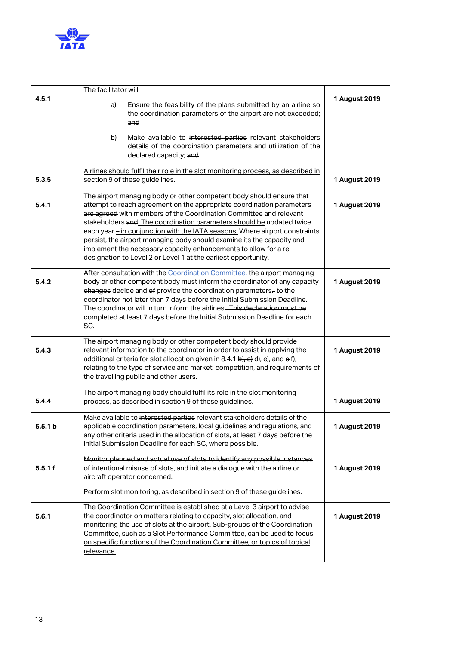

|                    | The facilitator will:                                                                                                                                                                                                                                                                                                                                                                                                                                                                                                                                                                       |               |
|--------------------|---------------------------------------------------------------------------------------------------------------------------------------------------------------------------------------------------------------------------------------------------------------------------------------------------------------------------------------------------------------------------------------------------------------------------------------------------------------------------------------------------------------------------------------------------------------------------------------------|---------------|
| 4.5.1              | Ensure the feasibility of the plans submitted by an airline so<br>a)<br>the coordination parameters of the airport are not exceeded;<br>and                                                                                                                                                                                                                                                                                                                                                                                                                                                 | 1 August 2019 |
|                    | Make available to interested parties relevant stakeholders<br>b)<br>details of the coordination parameters and utilization of the<br>declared capacity; and                                                                                                                                                                                                                                                                                                                                                                                                                                 |               |
| 5.3.5              | Airlines should fulfil their role in the slot monitoring process, as described in<br>section 9 of these guidelines.                                                                                                                                                                                                                                                                                                                                                                                                                                                                         | 1 August 2019 |
| 5.4.1              | The airport managing body or other competent body should ensure that<br>attempt to reach agreement on the appropriate coordination parameters<br>are agreed with members of the Coordination Committee and relevant<br>stakeholders and. The coordination parameters should be updated twice<br>each year - in conjunction with the IATA seasons. Where airport constraints<br>persist, the airport managing body should examine its the capacity and<br>implement the necessary capacity enhancements to allow for a re-<br>designation to Level 2 or Level 1 at the earliest opportunity. | 1 August 2019 |
| 5.4.2              | After consultation with the Coordination Committee, the airport managing<br>body or other competent body must inform the coordinator of any capacity<br>changes decide and of provide the coordination parameters-to the<br>coordinator not later than 7 days before the Initial Submission Deadline.<br>The coordinator will in turn inform the airlines. This declaration must be<br>completed at least 7 days before the Initial Submission Deadline for each<br>SC.                                                                                                                     | 1 August 2019 |
| 5.4.3              | The airport managing body or other competent body should provide<br>relevant information to the coordinator in order to assist in applying the<br>additional criteria for slot allocation given in 8.4.1 b), e) d), e), and e f),<br>relating to the type of service and market, competition, and requirements of<br>the travelling public and other users.                                                                                                                                                                                                                                 | 1 August 2019 |
| 5.4.4              | The airport managing body should fulfil its role in the slot monitoring<br>process, as described in section 9 of these quidelines.                                                                                                                                                                                                                                                                                                                                                                                                                                                          | 1 August 2019 |
| 5.5.1 <sub>b</sub> | Make available to interested parties relevant stakeholders details of the<br>applicable coordination parameters, local guidelines and regulations, and<br>any other criteria used in the allocation of slots, at least 7 days before the<br>Initial Submission Deadline for each SC, where possible.                                                                                                                                                                                                                                                                                        | 1 August 2019 |
| 5.5.1 f            | Monitor planned and actual use of slots to identify any possible instances<br>of intentional misuse of slots, and initiate a dialogue with the airline or<br>aircraft operator concerned.<br>Perform slot monitoring, as described in section 9 of these guidelines.                                                                                                                                                                                                                                                                                                                        | 1 August 2019 |
| 5.6.1              | The Coordination Committee is established at a Level 3 airport to advise<br>the coordinator on matters relating to capacity, slot allocation, and<br>monitoring the use of slots at the airport. Sub-groups of the Coordination<br>Committee, such as a Slot Performance Committee, can be used to focus<br>on specific functions of the Coordination Committee, or topics of topical<br>relevance.                                                                                                                                                                                         | 1 August 2019 |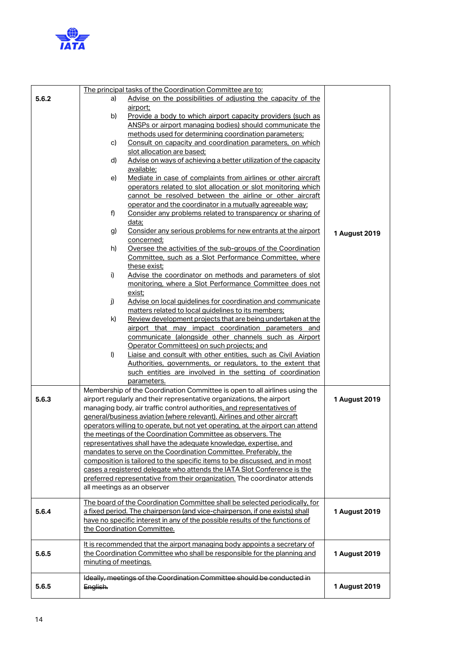

|       |                       | The principal tasks of the Coordination Committee are to:                      |               |
|-------|-----------------------|--------------------------------------------------------------------------------|---------------|
| 5.6.2 | a)                    | Advise on the possibilities of adjusting the capacity of the                   |               |
|       |                       | airport;                                                                       |               |
|       | b)                    | Provide a body to which airport capacity providers (such as                    |               |
|       |                       | ANSPs or airport managing bodies) should communicate the                       |               |
|       |                       | methods used for determining coordination parameters;                          |               |
|       | c)                    | Consult on capacity and coordination parameters, on which                      |               |
|       |                       | slot allocation are based;                                                     |               |
|       | d)                    | Advise on ways of achieving a better utilization of the capacity               |               |
|       |                       | available;                                                                     |               |
|       | e)                    | Mediate in case of complaints from airlines or other aircraft                  |               |
|       |                       | operators related to slot allocation or slot monitoring which                  |               |
|       |                       | cannot be resolved between the airline or other aircraft                       |               |
|       |                       | operator and the coordinator in a mutually agreeable way;                      |               |
|       | f)                    | Consider any problems related to transparency or sharing of                    |               |
|       |                       | data;                                                                          |               |
|       | g)                    | Consider any serious problems for new entrants at the airport                  | 1 August 2019 |
|       |                       | concerned;                                                                     |               |
|       | h)                    | Oversee the activities of the sub-groups of the Coordination                   |               |
|       |                       | Committee, such as a Slot Performance Committee, where                         |               |
|       |                       | these exist;                                                                   |               |
|       | i)                    | Advise the coordinator on methods and parameters of slot                       |               |
|       |                       | monitoring, where a Slot Performance Committee does not                        |               |
|       |                       | <u>exist;</u>                                                                  |               |
|       | j)                    | Advise on local guidelines for coordination and communicate                    |               |
|       |                       | matters related to local guidelines to its members;                            |               |
|       | k)                    | Review development projects that are being undertaken at the                   |               |
|       |                       | airport that may impact coordination parameters and                            |               |
|       |                       | communicate (alongside other channels such as Airport                          |               |
|       |                       | Operator Committees) on such projects; and                                     |               |
|       | I)                    | Liaise and consult with other entities, such as Civil Aviation                 |               |
|       |                       | Authorities, governments, or regulators, to the extent that                    |               |
|       |                       | such entities are involved in the setting of coordination                      |               |
|       |                       | parameters.                                                                    |               |
|       |                       | Membership of the Coordination Committee is open to all airlines using the     |               |
| 5.6.3 |                       | airport regularly and their representative organizations, the airport          | 1 August 2019 |
|       |                       | managing body, air traffic control authorities, and representatives of         |               |
|       |                       | general/business aviation (where relevant). Airlines and other aircraft        |               |
|       |                       | operators willing to operate, but not yet operating, at the airport can attend |               |
|       |                       | the meetings of the Coordination Committee as observers. The                   |               |
|       |                       | representatives shall have the adequate knowledge, expertise, and              |               |
|       |                       | mandates to serve on the Coordination Committee. Preferably, the               |               |
|       |                       | composition is tailored to the specific items to be discussed, and in most     |               |
|       |                       | cases a registered delegate who attends the IATA Slot Conference is the        |               |
|       |                       | preferred representative from their organization. The coordinator attends      |               |
|       |                       | all meetings as an observer                                                    |               |
|       |                       | The board of the Coordination Committee shall be selected periodically, for    |               |
| 5.6.4 |                       | a fixed period. The chairperson (and vice-chairperson, if one exists) shall    | 1 August 2019 |
|       |                       | have no specific interest in any of the possible results of the functions of   |               |
|       |                       | the Coordination Committee.                                                    |               |
|       |                       | It is recommended that the airport managing body appoints a secretary of       |               |
| 5.6.5 |                       | the Coordination Committee who shall be responsible for the planning and       | 1 August 2019 |
|       | minuting of meetings. |                                                                                |               |
|       |                       |                                                                                |               |
|       |                       | Ideally, meetings of the Coordination Committee should be conducted in         |               |
| 5.6.5 | English.              |                                                                                | 1 August 2019 |
|       |                       |                                                                                |               |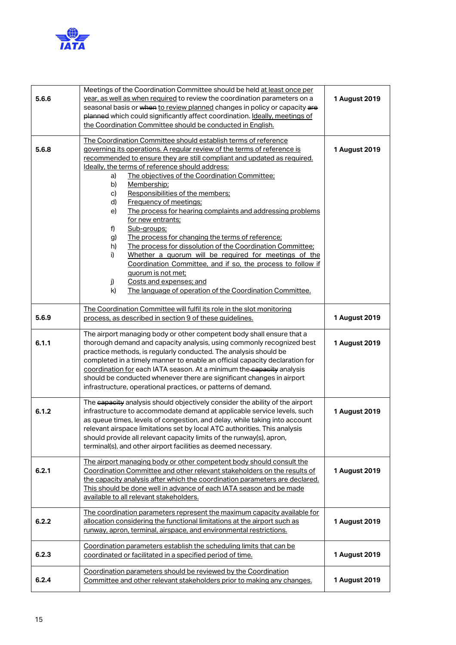

| 5.6.6 | Meetings of the Coordination Committee should be held at least once per<br>year, as well as when required to review the coordination parameters on a<br>seasonal basis or when to review planned changes in policy or capacity are<br>planned which could significantly affect coordination. Ideally, meetings of<br>the Coordination Committee should be conducted in English.                                                                                                                                                                                                                                                                                                                                                                                                                                                                                                                                                  | 1 August 2019 |  |
|-------|----------------------------------------------------------------------------------------------------------------------------------------------------------------------------------------------------------------------------------------------------------------------------------------------------------------------------------------------------------------------------------------------------------------------------------------------------------------------------------------------------------------------------------------------------------------------------------------------------------------------------------------------------------------------------------------------------------------------------------------------------------------------------------------------------------------------------------------------------------------------------------------------------------------------------------|---------------|--|
| 5.6.8 | The Coordination Committee should establish terms of reference<br>governing its operations. A regular review of the terms of reference is<br>recommended to ensure they are still compliant and updated as required.<br>Ideally, the terms of reference should address:<br>The objectives of the Coordination Committee;<br>a)<br>Membership;<br>b)<br>Responsibilities of the members;<br>c)<br>d)<br>Frequency of meetings;<br>The process for hearing complaints and addressing problems<br>e)<br>for new entrants;<br>Sub-groups;<br>f)<br>The process for changing the terms of reference;<br>g)<br>The process for dissolution of the Coordination Committee;<br>h)<br>Whether a quorum will be required for meetings of the<br>i)<br>Coordination Committee, and if so, the process to follow if<br>quorum is not met;<br>j)<br>Costs and expenses; and<br>k)<br>The language of operation of the Coordination Committee. | 1 August 2019 |  |
| 5.6.9 | The Coordination Committee will fulfil its role in the slot monitoring<br>process, as described in section 9 of these guidelines.                                                                                                                                                                                                                                                                                                                                                                                                                                                                                                                                                                                                                                                                                                                                                                                                | 1 August 2019 |  |
| 6.1.1 | The airport managing body or other competent body shall ensure that a<br>thorough demand and capacity analysis, using commonly recognized best<br>1 August 2019<br>practice methods, is regularly conducted. The analysis should be<br>completed in a timely manner to enable an official capacity declaration for<br>coordination for each IATA season. At a minimum the capacity analysis<br>should be conducted whenever there are significant changes in airport<br>infrastructure, operational practices, or patterns of demand.                                                                                                                                                                                                                                                                                                                                                                                            |               |  |
| 6.1.2 | The capacity analysis should objectively consider the ability of the airport<br>infrastructure to accommodate demand at applicable service levels, such<br>as queue times, levels of congestion, and delay, while taking into account<br>relevant airspace limitations set by local ATC authorities. This analysis<br>should provide all relevant capacity limits of the runway(s), apron,<br>terminal(s), and other airport facilities as deemed necessary.                                                                                                                                                                                                                                                                                                                                                                                                                                                                     | 1 August 2019 |  |
| 6.2.1 | The airport managing body or other competent body should consult the<br>Coordination Committee and other relevant stakeholders on the results of<br>the capacity analysis after which the coordination parameters are declared.<br>This should be done well in advance of each IATA season and be made<br>available to all relevant stakeholders.                                                                                                                                                                                                                                                                                                                                                                                                                                                                                                                                                                                | 1 August 2019 |  |
| 6.2.2 | The coordination parameters represent the maximum capacity available for<br>allocation considering the functional limitations at the airport such as<br>runway, apron, terminal, airspace, and environmental restrictions.                                                                                                                                                                                                                                                                                                                                                                                                                                                                                                                                                                                                                                                                                                       | 1 August 2019 |  |
| 6.2.3 | Coordination parameters establish the scheduling limits that can be<br>coordinated or facilitated in a specified period of time.                                                                                                                                                                                                                                                                                                                                                                                                                                                                                                                                                                                                                                                                                                                                                                                                 | 1 August 2019 |  |
| 6.2.4 | Coordination parameters should be reviewed by the Coordination<br>Committee and other relevant stakeholders prior to making any changes.                                                                                                                                                                                                                                                                                                                                                                                                                                                                                                                                                                                                                                                                                                                                                                                         | 1 August 2019 |  |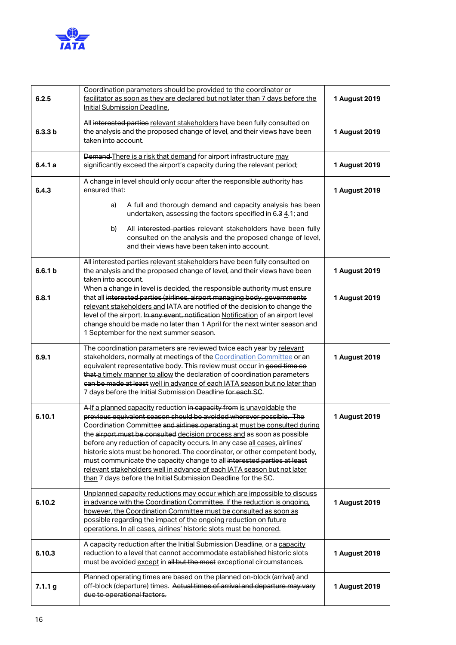

| 6.2.5              | Coordination parameters should be provided to the coordinator or<br>facilitator as soon as they are declared but not later than 7 days before the<br>Initial Submission Deadline.                                                                                                                                                                                                                                                                                                                                                                                                                                                                                                     | 1 August 2019 |
|--------------------|---------------------------------------------------------------------------------------------------------------------------------------------------------------------------------------------------------------------------------------------------------------------------------------------------------------------------------------------------------------------------------------------------------------------------------------------------------------------------------------------------------------------------------------------------------------------------------------------------------------------------------------------------------------------------------------|---------------|
| 6.3.3 b            | All interested parties relevant stakeholders have been fully consulted on<br>the analysis and the proposed change of level, and their views have been<br>taken into account.                                                                                                                                                                                                                                                                                                                                                                                                                                                                                                          | 1 August 2019 |
| 6.4.1a             | Demand There is a risk that demand for airport infrastructure may<br>significantly exceed the airport's capacity during the relevant period;                                                                                                                                                                                                                                                                                                                                                                                                                                                                                                                                          | 1 August 2019 |
| 6.4.3              | A change in level should only occur after the responsible authority has<br>ensured that:                                                                                                                                                                                                                                                                                                                                                                                                                                                                                                                                                                                              | 1 August 2019 |
|                    | A full and thorough demand and capacity analysis has been<br>a)<br>undertaken, assessing the factors specified in 6.3 4.1; and                                                                                                                                                                                                                                                                                                                                                                                                                                                                                                                                                        |               |
|                    | All interested parties relevant stakeholders have been fully<br>b)<br>consulted on the analysis and the proposed change of level,<br>and their views have been taken into account.                                                                                                                                                                                                                                                                                                                                                                                                                                                                                                    |               |
| 6.6.1 <sub>b</sub> | All interested parties relevant stakeholders have been fully consulted on<br>the analysis and the proposed change of level, and their views have been<br>taken into account.                                                                                                                                                                                                                                                                                                                                                                                                                                                                                                          | 1 August 2019 |
| 6.8.1              | When a change in level is decided, the responsible authority must ensure<br>that all interested parties (airlines, airport managing body, governments<br>relevant stakeholders and IATA are notified of the decision to change the<br>level of the airport. In any event, notification Notification of an airport level<br>change should be made no later than 1 April for the next winter season and<br>1 September for the next summer season.                                                                                                                                                                                                                                      | 1 August 2019 |
| 6.9.1              | The coordination parameters are reviewed twice each year by relevant<br>stakeholders, normally at meetings of the Coordination Committee or an<br>equivalent representative body. This review must occur in good time so<br>that a timely manner to allow the declaration of coordination parameters<br>ean be made at least well in advance of each IATA season but no later than<br>7 days before the Initial Submission Deadline for each SC.                                                                                                                                                                                                                                      | 1 August 2019 |
| 6.10.1             | A If a planned capacity reduction in capacity from is unavoidable the<br>previous equivalent season should be avoided wherever possible. The<br>Coordination Committee and airlines operating at must be consulted during<br>the airport must be consulted decision process and as soon as possible<br>before any reduction of capacity occurs. In any case all cases, airlines'<br>historic slots must be honored. The coordinator, or other competent body,<br>must communicate the capacity change to all interested parties at least<br>relevant stakeholders well in advance of each IATA season but not later<br>than 7 days before the Initial Submission Deadline for the SC. | 1 August 2019 |
| 6.10.2             | Unplanned capacity reductions may occur which are impossible to discuss<br>in advance with the Coordination Committee. If the reduction is ongoing,<br>however, the Coordination Committee must be consulted as soon as<br>possible regarding the impact of the ongoing reduction on future<br>operations. In all cases, airlines' historic slots must be honored.                                                                                                                                                                                                                                                                                                                    | 1 August 2019 |
| 6.10.3             | A capacity reduction after the Initial Submission Deadline, or a capacity<br>reduction to a level that cannot accommodate established historic slots<br>must be avoided except in all but the most exceptional circumstances.                                                                                                                                                                                                                                                                                                                                                                                                                                                         | 1 August 2019 |
| 7.1.1 g            | Planned operating times are based on the planned on-block (arrival) and<br>off-block (departure) times. Actual times of arrival and departure may vary<br>due to operational factors.                                                                                                                                                                                                                                                                                                                                                                                                                                                                                                 | 1 August 2019 |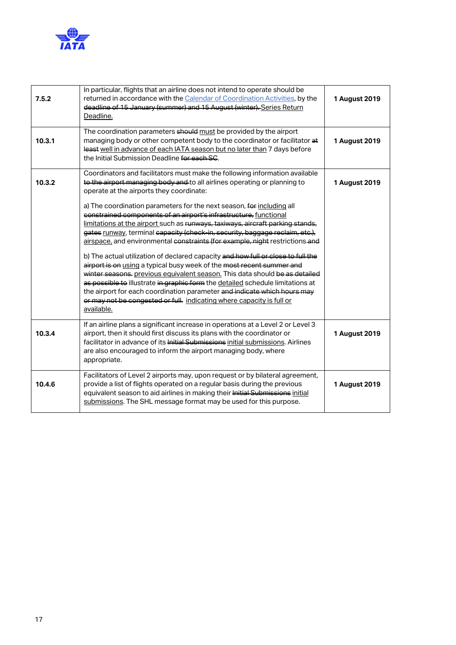

| 7.5.2  | In particular, flights that an airline does not intend to operate should be<br>returned in accordance with the Calendar of Coordination Activities, by the<br>deadline of 15 January (summer) and 15 August (winter). Series Return<br>Deadline.                                                                                                                                                                                                                                                                                                                                                                                                                                                                                                                  | 1 August 2019 |
|--------|-------------------------------------------------------------------------------------------------------------------------------------------------------------------------------------------------------------------------------------------------------------------------------------------------------------------------------------------------------------------------------------------------------------------------------------------------------------------------------------------------------------------------------------------------------------------------------------------------------------------------------------------------------------------------------------------------------------------------------------------------------------------|---------------|
| 10.3.1 | The coordination parameters should must be provided by the airport<br>managing body or other competent body to the coordinator or facilitator at<br>least well in advance of each IATA season but no later than 7 days before<br>the Initial Submission Deadline for each SC.                                                                                                                                                                                                                                                                                                                                                                                                                                                                                     | 1 August 2019 |
| 10.3.2 | Coordinators and facilitators must make the following information available<br>to the airport managing body and to all airlines operating or planning to<br>operate at the airports they coordinate:<br>a) The coordination parameters for the next season, for including all<br>constrained components of an airport's infrastructure, functional<br>limitations at the airport such as runways, taxiways, aircraft parking stands,<br>gates runway, terminal capacity (check-in, security, baggage reclaim, etc.),<br>airspace, and environmental constraints (for example, night restrictions and<br>b) The actual utilization of declared capacity and how full or close to full the<br>airport is on using a typical busy week of the most recent summer and | 1 August 2019 |
|        | winter seasons. previous equivalent season. This data should be as detailed<br>as possible to illustrate in graphic form the detailed schedule limitations at<br>the airport for each coordination parameter and indicate which hours may<br>or may not be congested or full. indicating where capacity is full or<br>available.                                                                                                                                                                                                                                                                                                                                                                                                                                  |               |
| 10.3.4 | If an airline plans a significant increase in operations at a Level 2 or Level 3<br>airport, then it should first discuss its plans with the coordinator or<br>facilitator in advance of its Initial Submissions initial submissions. Airlines<br>are also encouraged to inform the airport managing body, where<br>appropriate.                                                                                                                                                                                                                                                                                                                                                                                                                                  | 1 August 2019 |
| 10.4.6 | Facilitators of Level 2 airports may, upon request or by bilateral agreement,<br>provide a list of flights operated on a regular basis during the previous<br>equivalent season to aid airlines in making their Initial Submissions initial<br>submissions. The SHL message format may be used for this purpose.                                                                                                                                                                                                                                                                                                                                                                                                                                                  | 1 August 2019 |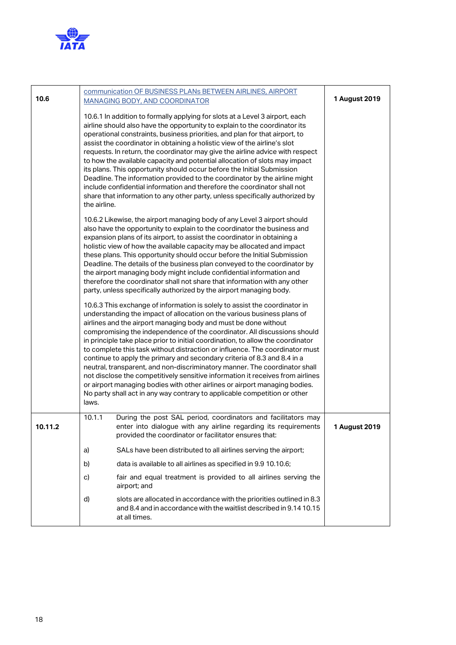

| 10.6    |              | communication OF BUSINESS PLANs BETWEEN AIRLINES, AIRPORT<br><b>MANAGING BODY, AND COORDINATOR</b>                                                                                                                                                                                                                                                                                                                                                                                                                                                                                                                                                                                                                                                                                                                                                                             | 1 August 2019 |
|---------|--------------|--------------------------------------------------------------------------------------------------------------------------------------------------------------------------------------------------------------------------------------------------------------------------------------------------------------------------------------------------------------------------------------------------------------------------------------------------------------------------------------------------------------------------------------------------------------------------------------------------------------------------------------------------------------------------------------------------------------------------------------------------------------------------------------------------------------------------------------------------------------------------------|---------------|
|         | the airline. | 10.6.1 In addition to formally applying for slots at a Level 3 airport, each<br>airline should also have the opportunity to explain to the coordinator its<br>operational constraints, business priorities, and plan for that airport, to<br>assist the coordinator in obtaining a holistic view of the airline's slot<br>requests. In return, the coordinator may give the airline advice with respect<br>to how the available capacity and potential allocation of slots may impact<br>its plans. This opportunity should occur before the Initial Submission<br>Deadline. The information provided to the coordinator by the airline might<br>include confidential information and therefore the coordinator shall not<br>share that information to any other party, unless specifically authorized by                                                                      |               |
|         |              | 10.6.2 Likewise, the airport managing body of any Level 3 airport should<br>also have the opportunity to explain to the coordinator the business and<br>expansion plans of its airport, to assist the coordinator in obtaining a<br>holistic view of how the available capacity may be allocated and impact<br>these plans. This opportunity should occur before the Initial Submission<br>Deadline. The details of the business plan conveyed to the coordinator by<br>the airport managing body might include confidential information and<br>therefore the coordinator shall not share that information with any other<br>party, unless specifically authorized by the airport managing body.                                                                                                                                                                               |               |
|         | laws.        | 10.6.3 This exchange of information is solely to assist the coordinator in<br>understanding the impact of allocation on the various business plans of<br>airlines and the airport managing body and must be done without<br>compromising the independence of the coordinator. All discussions should<br>in principle take place prior to initial coordination, to allow the coordinator<br>to complete this task without distraction or influence. The coordinator must<br>continue to apply the primary and secondary criteria of 8.3 and 8.4 in a<br>neutral, transparent, and non-discriminatory manner. The coordinator shall<br>not disclose the competitively sensitive information it receives from airlines<br>or airport managing bodies with other airlines or airport managing bodies.<br>No party shall act in any way contrary to applicable competition or other |               |
| 10.11.2 | 10.1.1       | During the post SAL period, coordinators and facilitators may<br>enter into dialogue with any airline regarding its requirements<br>provided the coordinator or facilitator ensures that:                                                                                                                                                                                                                                                                                                                                                                                                                                                                                                                                                                                                                                                                                      | 1 August 2019 |
|         | a)           | SALs have been distributed to all airlines serving the airport;                                                                                                                                                                                                                                                                                                                                                                                                                                                                                                                                                                                                                                                                                                                                                                                                                |               |
|         | b)           | data is available to all airlines as specified in 9.9 10.10.6;                                                                                                                                                                                                                                                                                                                                                                                                                                                                                                                                                                                                                                                                                                                                                                                                                 |               |
|         | c)           | fair and equal treatment is provided to all airlines serving the<br>airport; and                                                                                                                                                                                                                                                                                                                                                                                                                                                                                                                                                                                                                                                                                                                                                                                               |               |
|         | d)           | slots are allocated in accordance with the priorities outlined in 8.3<br>and 8.4 and in accordance with the waitlist described in 9.14 10.15<br>at all times.                                                                                                                                                                                                                                                                                                                                                                                                                                                                                                                                                                                                                                                                                                                  |               |